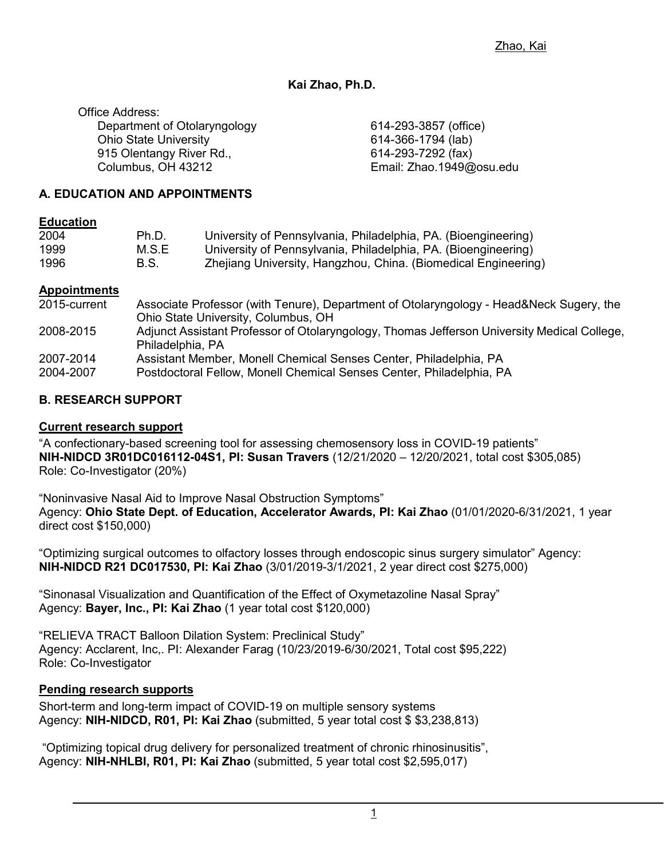# **Kai Zhao, Ph.D.**

Office Address: Department of Otolaryngology Ohio State University 915 Olentangy River Rd., Columbus, OH 43212

614-293-3857 (office) 614-366-1794 (lab) 614-293-7292 (fax) Email: Zhao.1949@osu.edu

# **A. EDUCATION AND APPOINTMENTS**

#### **Education**

| 2004 | Ph.D. | University of Pennsylvania, Philadelphia, PA. (Bioengineering) |
|------|-------|----------------------------------------------------------------|
| 1999 | M.S.E | University of Pennsylvania, Philadelphia, PA. (Bioengineering) |
| 1996 | B.S.  | Zhejiang University, Hangzhou, China. (Biomedical Engineering) |

#### **Appointments**

| 2015-current | Associate Professor (with Tenure), Department of Otolaryngology - Head&Neck Sugery, the     |
|--------------|---------------------------------------------------------------------------------------------|
|              | Ohio State University, Columbus, OH                                                         |
| 2008-2015    | Adjunct Assistant Professor of Otolaryngology, Thomas Jefferson University Medical College, |
|              | Philadelphia, PA                                                                            |
| 2007-2014    | Assistant Member, Monell Chemical Senses Center, Philadelphia, PA                           |
| 2004-2007    | Postdoctoral Fellow, Monell Chemical Senses Center, Philadelphia, PA                        |

# **B. RESEARCH SUPPORT**

### **Current research support**

"A confectionary-based screening tool for assessing chemosensory loss in COVID-19 patients" **NIH-NIDCD 3R01DC016112-04S1, PI: Susan Travers** (12/21/2020 – 12/20/2021, total cost \$305,085) Role: Co-Investigator (20%)

"Noninvasive Nasal Aid to Improve Nasal Obstruction Symptoms" Agency: **Ohio State Dept. of Education, Accelerator Awards, PI: Kai Zhao** (01/01/2020-6/31/2021, 1 year direct cost \$150,000)

"Optimizing surgical outcomes to olfactory losses through endoscopic sinus surgery simulator" Agency: **NIH-NIDCD R21 DC017530, PI: Kai Zhao** (3/01/2019-3/1/2021, 2 year direct cost \$275,000)

"Sinonasal Visualization and Quantification of the Effect of Oxymetazoline Nasal Spray" Agency: **Bayer, Inc., PI: Kai Zhao** (1 year total cost \$120,000)

"RELIEVA TRACT Balloon Dilation System: Preclinical Study" Agency: Acclarent, Inc,. PI: Alexander Farag (10/23/2019-6/30/2021, Total cost \$95,222) Role: Co-Investigator

# **Pending research supports**

Short-term and long-term impact of COVID-19 on multiple sensory systems Agency: **NIH-NIDCD, R01, PI: Kai Zhao** (submitted, 5 year total cost \$ \$3,238,813)

"Optimizing topical drug delivery for personalized treatment of chronic rhinosinusitis", Agency: **NIH-NHLBI, R01, PI: Kai Zhao** (submitted, 5 year total cost \$2,595,017)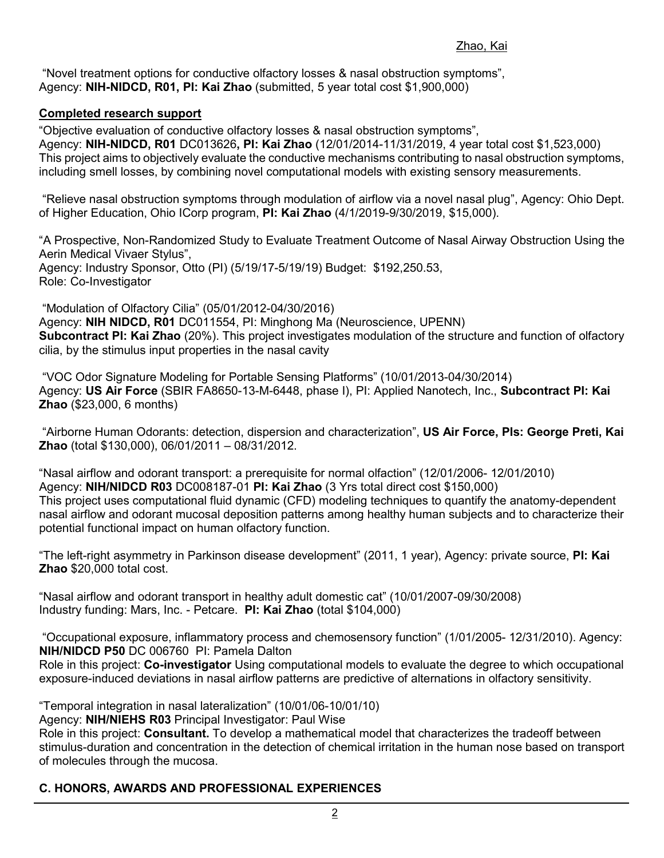"Novel treatment options for conductive olfactory losses & nasal obstruction symptoms", Agency: **NIH-NIDCD, R01, PI: Kai Zhao** (submitted, 5 year total cost \$1,900,000)

# **Completed research support**

"Objective evaluation of conductive olfactory losses & nasal obstruction symptoms", Agency: **NIH-NIDCD, R01** DC013626**, PI: Kai Zhao** (12/01/2014-11/31/2019, 4 year total cost \$1,523,000) This project aims to objectively evaluate the conductive mechanisms contributing to nasal obstruction symptoms, including smell losses, by combining novel computational models with existing sensory measurements.

"Relieve nasal obstruction symptoms through modulation of airflow via a novel nasal plug", Agency: Ohio Dept. of Higher Education, Ohio ICorp program, **PI: Kai Zhao** (4/1/2019-9/30/2019, \$15,000).

"A Prospective, Non-Randomized Study to Evaluate Treatment Outcome of Nasal Airway Obstruction Using the Aerin Medical Vivaer Stylus", Agency: Industry Sponsor, Otto (PI) (5/19/17-5/19/19) Budget: \$192,250.53, Role: Co-Investigator

"Modulation of Olfactory Cilia" (05/01/2012-04/30/2016) Agency: **NIH NIDCD, R01** DC011554, PI: Minghong Ma (Neuroscience, UPENN) **Subcontract PI: Kai Zhao** (20%). This project investigates modulation of the structure and function of olfactory cilia, by the stimulus input properties in the nasal cavity

"VOC Odor Signature Modeling for Portable Sensing Platforms" (10/01/2013-04/30/2014) Agency: **US Air Force** (SBIR FA8650-13-M-6448, phase I), PI: Applied Nanotech, Inc., **Subcontract PI: Kai Zhao** (\$23,000, 6 months)

"Airborne Human Odorants: detection, dispersion and characterization", **US Air Force, PIs: George Preti, Kai Zhao** (total \$130,000), 06/01/2011 – 08/31/2012.

"Nasal airflow and odorant transport: a prerequisite for normal olfaction" (12/01/2006- 12/01/2010) Agency: **NIH/NIDCD R03** DC008187-01 **PI: Kai Zhao** (3 Yrs total direct cost \$150,000) This project uses computational fluid dynamic (CFD) modeling techniques to quantify the anatomy-dependent nasal airflow and odorant mucosal deposition patterns among healthy human subjects and to characterize their potential functional impact on human olfactory function.

"The left-right asymmetry in Parkinson disease development" (2011, 1 year), Agency: private source, **PI: Kai Zhao** \$20,000 total cost.

"Nasal airflow and odorant transport in healthy adult domestic cat" (10/01/2007-09/30/2008) Industry funding: Mars, Inc. - Petcare. **PI: Kai Zhao** (total \$104,000)

"Occupational exposure, inflammatory process and chemosensory function" (1/01/2005- 12/31/2010). Agency: **NIH/NIDCD P50** DC 006760 PI: Pamela Dalton

Role in this project: **Co-investigator** Using computational models to evaluate the degree to which occupational exposure-induced deviations in nasal airflow patterns are predictive of alternations in olfactory sensitivity.

"Temporal integration in nasal lateralization" (10/01/06-10/01/10)

Agency: **NIH/NIEHS R03** Principal Investigator: Paul Wise

Role in this project: **Consultant.** To develop a mathematical model that characterizes the tradeoff between stimulus-duration and concentration in the detection of chemical irritation in the human nose based on transport of molecules through the mucosa.

# **C. HONORS, AWARDS AND PROFESSIONAL EXPERIENCES**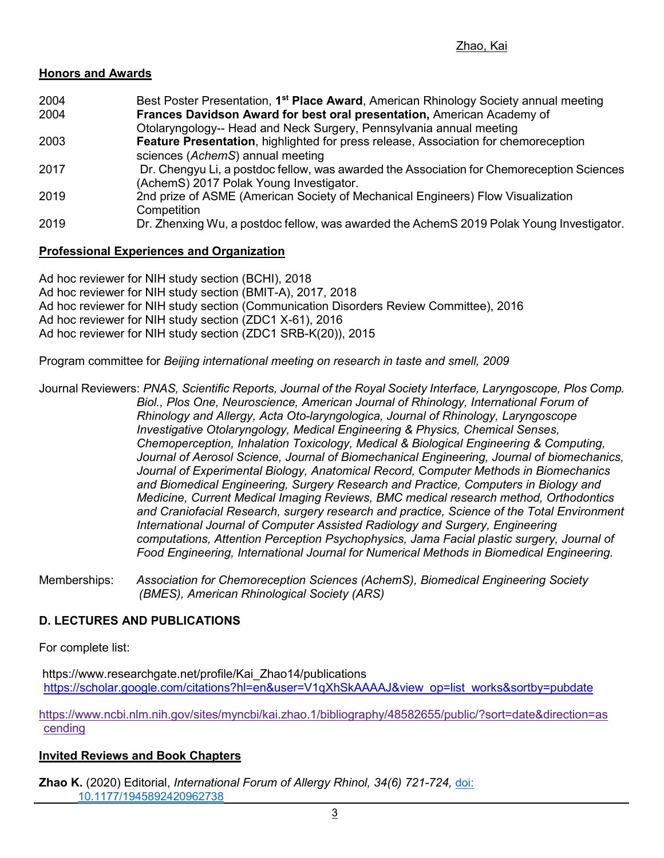## **Honors and Awards**

- 2004 Best Poster Presentation, **1st Place Award**, American Rhinology Society annual meeting 2004 **Frances Davidson Award for best oral presentation,** American Academy of Otolaryngology-- Head and Neck Surgery, Pennsylvania annual meeting
- 2003 **Feature Presentation**, highlighted for press release, Association for chemoreception sciences (*AchemS*) annual meeting
- 2017 Dr. Chengyu Li, a postdoc fellow, was awarded the Association for Chemoreception Sciences (AchemS) 2017 Polak Young Investigator.
- 2019 2nd prize of ASME (American Society of Mechanical Engineers) Flow Visualization **Competition**
- 2019 Dr. Zhenxing Wu, a postdoc fellow, was awarded the AchemS 2019 Polak Young Investigator.

## **Professional Experiences and Organization**

Ad hoc reviewer for NIH study section (BCHI), 2018 Ad hoc reviewer for NIH study section (BMIT-A), 2017, 2018 Ad hoc reviewer for NIH study section (Communication Disorders Review Committee), 2016 Ad hoc reviewer for NIH study section (ZDC1 X-61), 2016 Ad hoc reviewer for NIH study section (ZDC1 SRB-K(20)), 2015

Program committee for *Beijing international meeting on research in taste and smell, 2009*

Journal Reviewers: *PNAS, Scientific Reports, Journal of the Royal Society Interface, Laryngoscope, Plos Comp. Biol., Plos One, Neuroscience, American Journal of Rhinology, International Forum of Rhinology and Allergy, Acta Oto-laryngologica, Journal of Rhinology, Laryngoscope Investigative Otolaryngology, Medical Engineering & Physics, Chemical Senses, Chemoperception, Inhalation Toxicology, Medical & Biological Engineering & Computing, Journal of Aerosol Science, Journal of Biomechanical Engineering, Journal of biomechanics, Journal of Experimental Biology, Anatomical Record,* C*omputer Methods in Biomechanics and Biomedical Engineering, Surgery Research and Practice, Computers in Biology and Medicine, Current Medical Imaging Reviews, BMC medical research method, Orthodontics and Craniofacial Research, surgery research and practice, Science of the Total Environment International Journal of Computer Assisted Radiology and Surgery, Engineering computations, Attention Perception Psychophysics, Jama Facial plastic surgery, Journal of Food Engineering, International Journal for Numerical Methods in Biomedical Engineering.*

Memberships: *Association for Chemoreception Sciences (AchemS), Biomedical Engineering Society (BMES), American Rhinological Society (ARS)*

# **D. LECTURES AND PUBLICATIONS**

For complete list:

[https://www.researchgate.net/profile/Kai\\_Zhao14/publications](https://scholar.google.com/citations?hl=en&user=V1qXhSkAAAAJ&view_op=list_works&sortby=pubdate) [https://scholar.google.com/citations?hl=en&user=V1qXhSkAAAAJ&view\\_op=list\\_works&sortby=pubdate](https://scholar.google.com/citations?hl=en&user=V1qXhSkAAAAJ&view_op=list_works&sortby=pubdate)

[https://www.ncbi.nlm.nih.gov/sites/myncbi/kai.zhao.1/bibliography/48582655/public/?sort=date&direction=as](https://www.ncbi.nlm.nih.gov/sites/myncbi/kai.zhao.1/bibliography/48582655/public/?sort=date&direction=ascending) [cending](https://www.ncbi.nlm.nih.gov/sites/myncbi/kai.zhao.1/bibliography/48582655/public/?sort=date&direction=ascending)

#### **Invited Reviews and Book Chapters**

**Zhao K.** (2020) Editorial, *International Forum of Allergy Rhinol, 34(6) 721-724,* [doi:](https://doi.org/10.1177%2F1945892420962738)  [10.1177/1945892420962738](https://doi.org/10.1177%2F1945892420962738)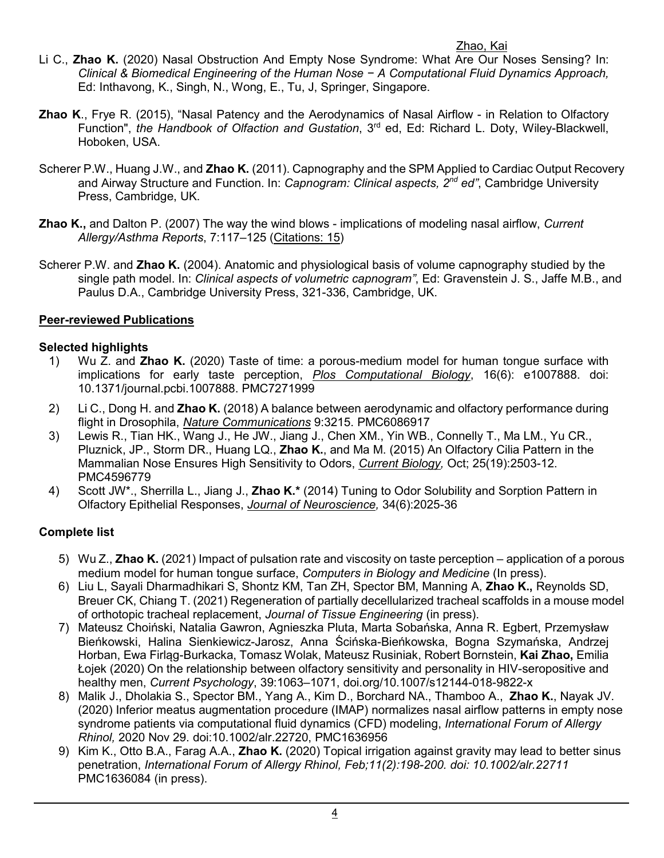# Zhao, Kai

- Li C., **Zhao K.** (2020) Nasal Obstruction And Empty Nose Syndrome: What Are Our Noses Sensing? In: *Clinical & Biomedical Engineering of the Human Nose − A Computational Fluid Dynamics Approach,*  Ed: Inthavong, K., Singh, N., Wong, E., Tu, J, Springer, Singapore.
- **Zhao K**., Frye R. (2015), "Nasal Patency and the Aerodynamics of Nasal Airflow in Relation to Olfactory Function", *the Handbook of Olfaction and Gustation*, 3rd ed, Ed: Richard L. Doty, Wiley-Blackwell, Hoboken, USA.
- Scherer P.W., Huang J.W., and **Zhao K.** (2011). Capnography and the SPM Applied to Cardiac Output Recovery and Airway Structure and Function. In: *Capnogram: Clinical aspects, 2nd ed"*, Cambridge University Press, Cambridge, UK.
- **Zhao K.,** and Dalton P. (2007) The way the wind blows implications of modeling nasal airflow, *Current Allergy/Asthma Reports*, 7:117–125 (Citations: 15)
- Scherer P.W. and **Zhao K.** (2004). Anatomic and physiological basis of volume capnography studied by the single path model. In: *Clinical aspects of volumetric capnogram"*, Ed: Gravenstein J. S., Jaffe M.B., and Paulus D.A., Cambridge University Press, 321-336, Cambridge, UK.

# **Peer-reviewed Publications**

# **Selected highlights**

- 1) Wu Z. and **Zhao K.** (2020) Taste of time: a porous-medium model for human tongue surface with implications for early taste perception, *Plos Computational Biology*, 16(6): e1007888. doi: 10.1371/journal.pcbi.1007888. PMC7271999
- 2) Li C., Dong H. and **Zhao K.** (2018) A balance between aerodynamic and olfactory performance during flight in Drosophila, *Nature Communications* 9:3215. PMC6086917
- 3) Lewis R., Tian HK., Wang J., He JW., Jiang J., Chen XM., Yin WB., Connelly T., Ma LM., Yu CR., Pluznick, JP., Storm DR., Huang LQ., **Zhao K.**, and Ma M. (2015) An Olfactory Cilia Pattern in the Mammalian Nose Ensures High Sensitivity to Odors, *Current Biology,* Oct; 25(19):2503-12. PMC4596779
- 4) Scott JW\*., Sherrilla L., Jiang J., **Zhao K.\*** (2014) Tuning to Odor Solubility and Sorption Pattern in Olfactory Epithelial Responses, *Journal of Neuroscience,* 34(6):2025-36

# **Complete list**

- 5) Wu Z., **Zhao K.** (2021) Impact of pulsation rate and viscosity on taste perception application of a porous medium model for human tongue surface, *Computers in Biology and Medicine* (In press).
- 6) Liu L, Sayali Dharmadhikari S, Shontz KM, Tan ZH, Spector BM, Manning A, **Zhao K.,** Reynolds SD, Breuer CK, Chiang T. (2021) Regeneration of partially decellularized tracheal scaffolds in a mouse model of orthotopic tracheal replacement, *Journal of Tissue Engineering* (in press).
- 7) Mateusz Choiński, Natalia Gawron, Agnieszka Pluta, Marta Sobańska, Anna R. Egbert, Przemysław Bieńkowski, Halina Sienkiewicz-Jarosz, Anna Ścińska-Bieńkowska, Bogna Szymańska, Andrzej Horban, Ewa Firląg-Burkacka, Tomasz Wolak, Mateusz Rusiniak, Robert Bornstein, **Kai Zhao,** Emilia Łojek (2020) On the relationship between olfactory sensitivity and personality in HIV-seropositive and healthy men, *Current Psychology*, 39:1063–1071, doi.org/10.1007/s12144-018-9822-x
- 8) Malik J., Dholakia S., Spector BM., Yang A., Kim D., Borchard NA., Thamboo A., **Zhao K.**, Nayak JV. (2020) Inferior meatus augmentation procedure (IMAP) normalizes nasal airflow patterns in empty nose syndrome patients via computational fluid dynamics (CFD) modeling, *International Forum of Allergy Rhinol,* 2020 Nov 29. doi:10.1002/alr.22720, PMC1636956
- 9) Kim K., Otto B.A., Farag A.A., **Zhao K.** (2020) Topical irrigation against gravity may lead to better sinus penetration, *International Forum of Allergy Rhinol, Feb;11(2):198-200. doi: 10.1002/alr.22711* PMC1636084 (in press).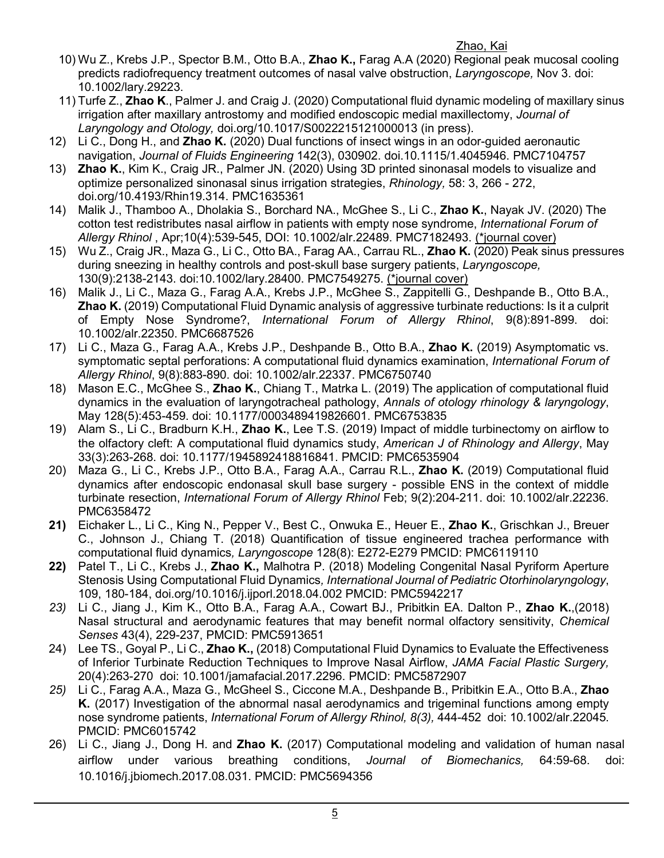- Zhao, Kai 10) Wu Z., Krebs J.P., Spector B.M., Otto B.A., **Zhao K.,** Farag A.A (2020) Regional peak mucosal cooling predicts radiofrequency treatment outcomes of nasal valve obstruction, *Laryngoscope,* Nov 3. doi: 10.1002/lary.29223.
	- 11) Turfe Z., **Zhao K**., Palmer J. and Craig J. (2020) Computational fluid dynamic modeling of maxillary sinus irrigation after maxillary antrostomy and modified endoscopic medial maxillectomy, *Journal of Laryngology and Otology,* doi.org/10.1017/S0022215121000013 (in press).
	- 12) Li C., Dong H., and **Zhao K.** (2020) Dual functions of insect wings in an odor-guided aeronautic navigation, *Journal of Fluids Engineering* 142(3), 030902. doi.10.1115/1.4045946. PMC7104757
	- 13) **Zhao K.**, Kim K., Craig JR., Palmer JN. (2020) Using 3D printed sinonasal models to visualize and optimize personalized sinonasal sinus irrigation strategies, *Rhinology,* 58: 3, 266 - 272, doi.org/10.4193/Rhin19.314. PMC1635361
	- 14) Malik J., Thamboo A., Dholakia S., Borchard NA., McGhee S., Li C., **Zhao K.**, Nayak JV. (2020) The cotton test redistributes nasal airflow in patients with empty nose syndrome, *International Forum of Allergy Rhinol* , Apr;10(4):539-545, DOI: 10.1002/alr.22489. PMC7182493. (\*journal cover)
	- 15) Wu Z., Craig JR., Maza G., Li C., Otto BA., Farag AA., Carrau RL., **Zhao K.** (2020) Peak sinus pressures during sneezing in healthy controls and post-skull base surgery patients, *Laryngoscope,*  130(9):2138-2143. doi:10.1002/lary.28400. PMC7549275. (\*journal cover)
	- 16) Malik J., Li C., Maza G., Farag A.A., Krebs J.P., McGhee S., Zappitelli G., Deshpande B., Otto B.A., **Zhao K.** (2019) Computational Fluid Dynamic analysis of aggressive turbinate reductions: Is it a culprit of Empty Nose Syndrome?, *International Forum of Allergy Rhinol*, 9(8):891-899. doi: 10.1002/alr.22350. PMC6687526
	- 17) Li C., Maza G., Farag A.A., Krebs J.P., Deshpande B., Otto B.A., **Zhao K.** (2019) Asymptomatic vs. symptomatic septal perforations: A computational fluid dynamics examination, *International Forum of Allergy Rhinol*, 9(8):883-890. doi: 10.1002/alr.22337. PMC6750740
	- 18) Mason E.C., McGhee S., **Zhao K.**, Chiang T., Matrka L. (2019) The application of computational fluid dynamics in the evaluation of laryngotracheal pathology, *Annals of otology rhinology & laryngology*, May 128(5):453-459. doi: 10.1177/0003489419826601. PMC6753835
	- 19) Alam S., Li C., Bradburn K.H., **Zhao K.**, Lee T.S. (2019) Impact of middle turbinectomy on airflow to the olfactory cleft: A computational fluid dynamics study, *American J of Rhinology and Allergy*, May 33(3):263-268. doi: 10.1177/1945892418816841. PMCID: PMC6535904
	- 20) Maza G., Li C., Krebs J.P., Otto B.A., Farag A.A., Carrau R.L., **Zhao K.** (2019) Computational fluid dynamics after endoscopic endonasal skull base surgery - possible ENS in the context of middle turbinate resection, *International Forum of Allergy Rhinol* Feb; 9(2):204-211. doi: 10.1002/alr.22236. PMC6358472
	- **21)** Eichaker L., Li C., King N., Pepper V., Best C., Onwuka E., Heuer E., **Zhao K.**, Grischkan J., Breuer C., Johnson J., Chiang T. (2018) Quantification of tissue engineered trachea performance with computational fluid dynamics*, Laryngoscope* 128(8): E272-E279 PMCID: PMC6119110
	- **22)** Patel T., Li C., Krebs J., **Zhao K.,** Malhotra P. (2018) Modeling Congenital Nasal Pyriform Aperture Stenosis Using Computational Fluid Dynamics*, International Journal of Pediatric Otorhinolaryngology*, 109, 180-184, doi.org/10.1016/j.ijporl.2018.04.002 PMCID: PMC5942217
	- *23)* Li C., Jiang J., Kim K., Otto B.A., Farag A.A., Cowart BJ., Pribitkin EA. Dalton P., **Zhao K.**,(2018) Nasal structural and aerodynamic features that may benefit normal olfactory sensitivity, *Chemical Senses* 43(4), 229-237, PMCID: PMC5913651
	- 24) Lee TS., Goyal P., Li C., **Zhao K.,** (2018) Computational Fluid Dynamics to Evaluate the Effectiveness of Inferior Turbinate Reduction Techniques to Improve Nasal Airflow, *JAMA Facial Plastic Surgery,* 20(4):263-270 doi: 10.1001/jamafacial.2017.2296. PMCID: PMC5872907
	- *25)* Li C., Farag A.A., Maza G., McGheel S., Ciccone M.A., Deshpande B., Pribitkin E.A., Otto B.A., **Zhao K.** (2017) Investigation of the abnormal nasal aerodynamics and trigeminal functions among empty nose syndrome patients, *International Forum of Allergy Rhinol, 8(3),* 444-452 doi: 10.1002/alr.22045. PMCID: PMC6015742
	- 26) Li C., Jiang J., Dong H. and **Zhao K.** (2017) Computational modeling and validation of human nasal airflow under various breathing conditions, *Journal of Biomechanics,* 64:59-68. doi: 10.1016/j.jbiomech.2017.08.031. PMCID: PMC5694356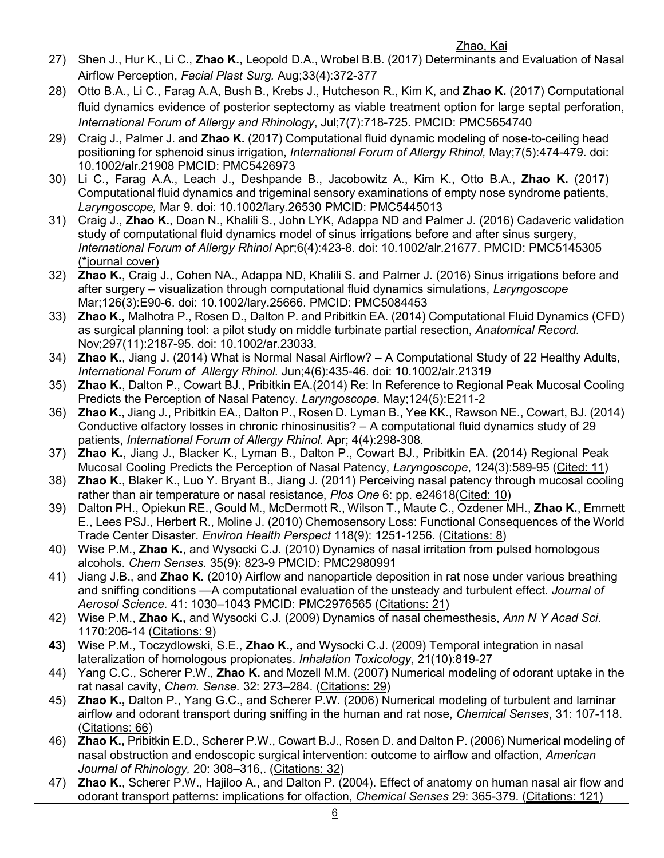### Zhao, Kai

- 27) Shen J., Hur K., Li C., **Zhao K.**, Leopold D.A., Wrobel B.B. (2017) Determinants and Evaluation of Nasal Airflow Perception, *Facial Plast Surg.* Aug;33(4):372-377
- 28) Otto B.A., Li C., Farag A.A, Bush B., Krebs J., Hutcheson R., Kim K, and **Zhao K.** (2017) Computational fluid dynamics evidence of posterior septectomy as viable treatment option for large septal perforation, *International Forum of Allergy and Rhinology*, Jul;7(7):718-725. PMCID: PMC5654740
- 29) Craig J., Palmer J. and **Zhao K.** (2017) Computational fluid dynamic modeling of nose-to-ceiling head positioning for sphenoid sinus irrigation, *International Forum of Allergy Rhinol,* May;7(5):474-479. doi: 10.1002/alr.21908 PMCID: PMC5426973
- 30) Li C., Farag A.A., Leach J., Deshpande B., Jacobowitz A., Kim K., Otto B.A., **Zhao K.** (2017) Computational fluid dynamics and trigeminal sensory examinations of empty nose syndrome patients, *Laryngoscope,* Mar 9. doi: 10.1002/lary.26530 PMCID: PMC5445013
- 31) Craig J., **Zhao K.**, Doan N., Khalili S., John LYK, Adappa ND and Palmer J. (2016) Cadaveric validation study of computational fluid dynamics model of sinus irrigations before and after sinus surgery, *International Forum of Allergy Rhinol* Apr;6(4):423-8. doi: 10.1002/alr.21677. PMCID: PMC5145305 (\*journal cover)
- 32) **Zhao K.**, Craig J., Cohen NA., Adappa ND, Khalili S. and Palmer J. (2016) Sinus irrigations before and after surgery – visualization through computational fluid dynamics simulations, *Laryngoscope*  Mar;126(3):E90-6. doi: 10.1002/lary.25666. PMCID: PMC5084453
- 33) **Zhao K.,** Malhotra P., Rosen D., Dalton P. and Pribitkin EA. (2014) Computational Fluid Dynamics (CFD) as surgical planning tool: a pilot study on middle turbinate partial resection, *Anatomical Record.* Nov;297(11):2187-95. doi: 10.1002/ar.23033.
- 34) **Zhao K.**, Jiang J. (2014) What is Normal Nasal Airflow? A Computational Study of 22 Healthy Adults, *International Forum of Allergy Rhinol.* Jun;4(6):435-46. doi: 10.1002/alr.21319
- 35) **Zhao K.**, Dalton P., Cowart BJ., Pribitkin EA.(2014) Re: In Reference to Regional Peak Mucosal Cooling Predicts the Perception of Nasal Patency. *Laryngoscope*. May;124(5):E211-2
- 36) **Zhao K.**, Jiang J., Pribitkin EA., Dalton P., Rosen D. Lyman B., Yee KK., Rawson NE., Cowart, BJ. (2014) Conductive olfactory losses in chronic rhinosinusitis? – A computational fluid dynamics study of 29 patients, *International Forum of Allergy Rhinol.* Apr; 4(4):298-308.
- 37) **Zhao K.**, Jiang J., Blacker K., Lyman B., Dalton P., Cowart BJ., Pribitkin EA. (2014) Regional Peak Mucosal Cooling Predicts the Perception of Nasal Patency, *Laryngoscope*, 124(3):589-95 (Cited: 11)
- 38) **Zhao K.**, Blaker K., Luo Y. Bryant B., Jiang J. (2011) Perceiving nasal patency through mucosal cooling rather than air temperature or nasal resistance, *Plos One* 6: pp. e24618(Cited: 10)
- 39) Dalton PH., Opiekun RE., Gould M., McDermott R., Wilson T., Maute C., Ozdener MH., **Zhao K.**, Emmett E., Lees PSJ., Herbert R., Moline J. (2010) Chemosensory Loss: Functional Consequences of the World Trade Center Disaster. *Environ Health Perspect* 118(9): 1251-1256. (Citations: 8)
- 40) Wise P.M., **Zhao K.**, and Wysocki C.J. (2010) Dynamics of nasal irritation from pulsed homologous alcohols. *Chem Senses.* 35(9): 823-9 PMCID: PMC2980991
- 41) Jiang J.B., and **Zhao K.** (2010) Airflow and nanoparticle deposition in rat nose under various breathing and sniffing conditions —A computational evaluation of the unsteady and turbulent effect. *Journal of Aerosol Science.* 41: 1030–1043 PMCID: PMC2976565 (Citations: 21)
- 42) Wise P.M., **Zhao K.,** and Wysocki C.J. (2009) Dynamics of nasal chemesthesis, *Ann N Y Acad Sci*. 1170:206-14 (Citations: 9)
- **43)** Wise P.M., Toczydlowski, S.E., **Zhao K.,** and Wysocki C.J. (2009) Temporal integration in nasal lateralization of homologous propionates. *Inhalation Toxicology*, 21(10):819-27
- 44) Yang C.C., Scherer P.W., **Zhao K.** and Mozell M.M. (2007) Numerical modeling of odorant uptake in the rat nasal cavity, *Chem. Sense.* 32: 273–284. (Citations: 29)
- 45) **Zhao K.,** Dalton P., Yang G.C., and Scherer P.W. (2006) Numerical modeling of turbulent and laminar airflow and odorant transport during sniffing in the human and rat nose, *Chemical Senses*, 31: 107-118. (Citations: 66)
- 46) **Zhao K.,** Pribitkin E.D., Scherer P.W., Cowart B.J., Rosen D. and Dalton P. (2006) Numerical modeling of nasal obstruction and endoscopic surgical intervention: outcome to airflow and olfaction, *American Journal of Rhinology,* 20: 308–316,. (Citations: 32)
- 47) **Zhao K.**, Scherer P.W., Hajiloo A., and Dalton P. (2004). Effect of anatomy on human nasal air flow and odorant transport patterns: implications for olfaction, *Chemical Senses* 29: 365-379. (Citations: 121)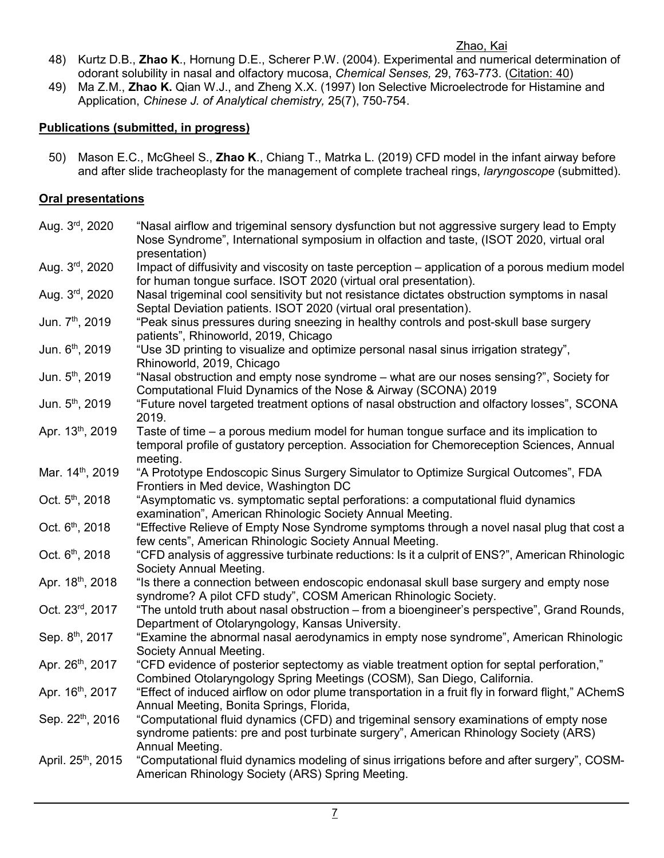## Zhao, Kai

- 48) Kurtz D.B., **Zhao K**., Hornung D.E., Scherer P.W. (2004). Experimental and numerical determination of odorant solubility in nasal and olfactory mucosa, *Chemical Senses,* 29, 763-773. (Citation: 40)
- 49) Ma Z.M., **Zhao K.** Qian W.J., and Zheng X.X. (1997) Ion Selective Microelectrode for Histamine and Application, *Chinese J. of Analytical chemistry,* 25(7), 750-754.

# **Publications (submitted, in progress)**

50) Mason E.C., McGheel S., **Zhao K**., Chiang T., Matrka L. (2019) CFD model in the infant airway before and after slide tracheoplasty for the management of complete tracheal rings, *laryngoscope* (submitted).

# **Oral presentations**

| Aug. 3rd, 2020              | "Nasal airflow and trigeminal sensory dysfunction but not aggressive surgery lead to Empty<br>Nose Syndrome", International symposium in olfaction and taste, (ISOT 2020, virtual oral<br>presentation) |
|-----------------------------|---------------------------------------------------------------------------------------------------------------------------------------------------------------------------------------------------------|
| Aug. 3rd, 2020              | Impact of diffusivity and viscosity on taste perception - application of a porous medium model<br>for human tongue surface. ISOT 2020 (virtual oral presentation).                                      |
| Aug. 3rd, 2020              | Nasal trigeminal cool sensitivity but not resistance dictates obstruction symptoms in nasal<br>Septal Deviation patients. ISOT 2020 (virtual oral presentation).                                        |
| Jun. 7th, 2019              | "Peak sinus pressures during sneezing in healthy controls and post-skull base surgery<br>patients", Rhinoworld, 2019, Chicago                                                                           |
| Jun. 6th, 2019              | "Use 3D printing to visualize and optimize personal nasal sinus irrigation strategy",<br>Rhinoworld, 2019, Chicago                                                                                      |
| Jun. 5th, 2019              | "Nasal obstruction and empty nose syndrome - what are our noses sensing?", Society for<br>Computational Fluid Dynamics of the Nose & Airway (SCONA) 2019                                                |
| Jun. 5th, 2019              | "Future novel targeted treatment options of nasal obstruction and olfactory losses", SCONA<br>2019.                                                                                                     |
| Apr. 13th, 2019             | Taste of time – a porous medium model for human tongue surface and its implication to<br>temporal profile of gustatory perception. Association for Chemoreception Sciences, Annual<br>meeting.          |
| Mar. 14th, 2019             | "A Prototype Endoscopic Sinus Surgery Simulator to Optimize Surgical Outcomes", FDA<br>Frontiers in Med device, Washington DC                                                                           |
| Oct. 5th, 2018              | "Asymptomatic vs. symptomatic septal perforations: a computational fluid dynamics<br>examination", American Rhinologic Society Annual Meeting.                                                          |
| Oct. 6 <sup>th</sup> , 2018 | "Effective Relieve of Empty Nose Syndrome symptoms through a novel nasal plug that cost a<br>few cents", American Rhinologic Society Annual Meeting.                                                    |
| Oct. 6th, 2018              | "CFD analysis of aggressive turbinate reductions: Is it a culprit of ENS?", American Rhinologic<br>Society Annual Meeting.                                                                              |
| Apr. 18th, 2018             | "Is there a connection between endoscopic endonasal skull base surgery and empty nose<br>syndrome? A pilot CFD study", COSM American Rhinologic Society.                                                |
| Oct. 23rd, 2017             | "The untold truth about nasal obstruction – from a bioengineer's perspective", Grand Rounds,<br>Department of Otolaryngology, Kansas University.                                                        |
| Sep. 8th, 2017              | "Examine the abnormal nasal aerodynamics in empty nose syndrome", American Rhinologic<br>Society Annual Meeting.                                                                                        |
| Apr. 26th, 2017             | "CFD evidence of posterior septectomy as viable treatment option for septal perforation,"<br>Combined Otolaryngology Spring Meetings (COSM), San Diego, California.                                     |
| Apr. 16th, 2017             | "Effect of induced airflow on odor plume transportation in a fruit fly in forward flight," AChemS<br>Annual Meeting, Bonita Springs, Florida,                                                           |
| Sep. 22th, 2016             | "Computational fluid dynamics (CFD) and trigeminal sensory examinations of empty nose<br>syndrome patients: pre and post turbinate surgery", American Rhinology Society (ARS)<br>Annual Meeting.        |
| April. 25th, 2015           | "Computational fluid dynamics modeling of sinus irrigations before and after surgery", COSM-<br>American Rhinology Society (ARS) Spring Meeting.                                                        |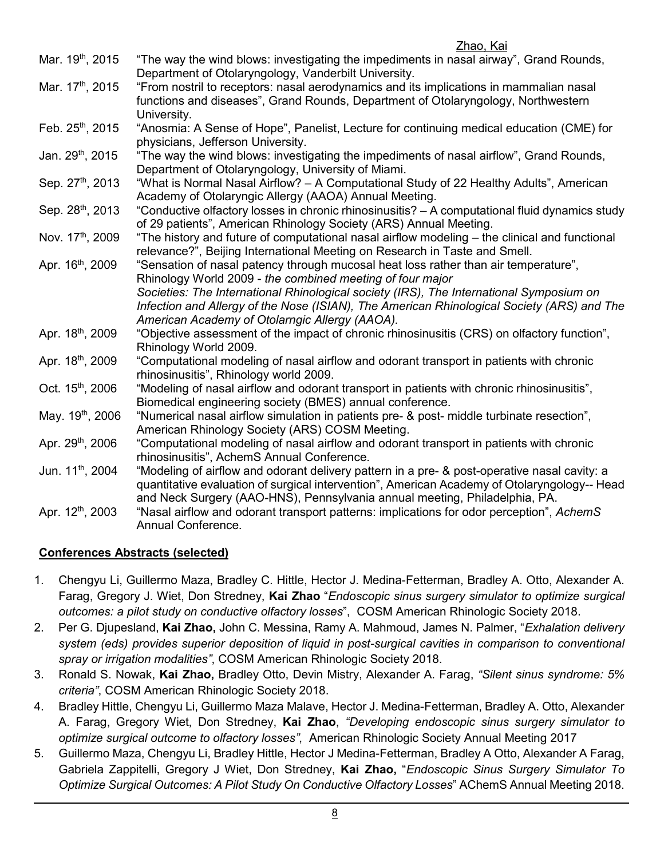|                              | <u>Zhao, Kai</u>                                                                               |
|------------------------------|------------------------------------------------------------------------------------------------|
| Mar. 19 <sup>th</sup> , 2015 | "The way the wind blows: investigating the impediments in nasal airway", Grand Rounds,         |
|                              | Department of Otolaryngology, Vanderbilt University.                                           |
| Mar. 17th, 2015              | "From nostril to receptors: nasal aerodynamics and its implications in mammalian nasal         |
|                              | functions and diseases", Grand Rounds, Department of Otolaryngology, Northwestern              |
|                              | University.                                                                                    |
| Feb. 25th, 2015              | "Anosmia: A Sense of Hope", Panelist, Lecture for continuing medical education (CME) for       |
|                              | physicians, Jefferson University.                                                              |
| Jan. 29th, 2015              | "The way the wind blows: investigating the impediments of nasal airflow", Grand Rounds,        |
|                              | Department of Otolaryngology, University of Miami.                                             |
| Sep. 27th, 2013              | "What is Normal Nasal Airflow? - A Computational Study of 22 Healthy Adults", American         |
|                              | Academy of Otolaryngic Allergy (AAOA) Annual Meeting.                                          |
| Sep. 28 <sup>th</sup> , 2013 | "Conductive olfactory losses in chronic rhinosinusitis? - A computational fluid dynamics study |
|                              | of 29 patients", American Rhinology Society (ARS) Annual Meeting.                              |
| Nov. 17th, 2009              | "The history and future of computational nasal airflow modeling – the clinical and functional  |
|                              | relevance?", Beijing International Meeting on Research in Taste and Smell.                     |
| Apr. 16 <sup>th</sup> , 2009 |                                                                                                |
|                              | "Sensation of nasal patency through mucosal heat loss rather than air temperature",            |
|                              | Rhinology World 2009 - the combined meeting of four major                                      |
|                              | Societies: The International Rhinological society (IRS), The International Symposium on        |
|                              | Infection and Allergy of the Nose (ISIAN), The American Rhinological Society (ARS) and The     |
|                              | American Academy of Otolarngic Allergy (AAOA).                                                 |
| Apr. 18th, 2009              | "Objective assessment of the impact of chronic rhinosinusitis (CRS) on olfactory function",    |
|                              | Rhinology World 2009.                                                                          |
| Apr. 18th, 2009              | "Computational modeling of nasal airflow and odorant transport in patients with chronic        |
|                              | rhinosinusitis", Rhinology world 2009.                                                         |
| Oct. 15 <sup>th</sup> , 2006 | "Modeling of nasal airflow and odorant transport in patients with chronic rhinosinusitis",     |
|                              | Biomedical engineering society (BMES) annual conference.                                       |
| May. 19 <sup>th</sup> , 2006 | "Numerical nasal airflow simulation in patients pre- & post- middle turbinate resection",      |
|                              | American Rhinology Society (ARS) COSM Meeting.                                                 |
| Apr. 29th, 2006              | "Computational modeling of nasal airflow and odorant transport in patients with chronic        |
|                              | rhinosinusitis", AchemS Annual Conference.                                                     |
| Jun. 11 <sup>th</sup> , 2004 | "Modeling of airflow and odorant delivery pattern in a pre- & post-operative nasal cavity: a   |
|                              | quantitative evaluation of surgical intervention", American Academy of Otolaryngology-- Head   |
|                              | and Neck Surgery (AAO-HNS), Pennsylvania annual meeting, Philadelphia, PA.                     |
| Apr. 12th, 2003              | "Nasal airflow and odorant transport patterns: implications for odor perception", AchemS       |
|                              | Annual Conference.                                                                             |

# **Conferences Abstracts (selected)**

- 1. Chengyu Li, Guillermo Maza, Bradley C. Hittle, Hector J. Medina-Fetterman, Bradley A. Otto, Alexander A. Farag, Gregory J. Wiet, Don Stredney, **Kai Zhao** "*Endoscopic sinus surgery simulator to optimize surgical outcomes: a pilot study on conductive olfactory losses*", COSM American Rhinologic Society 2018.
- 2. Per G. Djupesland, **Kai Zhao,** John C. Messina, Ramy A. Mahmoud, James N. Palmer, "*Exhalation delivery system (eds) provides superior deposition of liquid in post-surgical cavities in comparison to conventional spray or irrigation modalities"*, COSM American Rhinologic Society 2018.
- 3. Ronald S. Nowak, **Kai Zhao,** Bradley Otto, Devin Mistry, Alexander A. Farag, *"Silent sinus syndrome: 5% criteria"*, COSM American Rhinologic Society 2018.
- 4. Bradley Hittle, Chengyu Li, Guillermo Maza Malave, Hector J. Medina-Fetterman, Bradley A. Otto, Alexander A. Farag, Gregory Wiet, Don Stredney, **Kai Zhao**, *"Developing endoscopic sinus surgery simulator to optimize surgical outcome to olfactory losses"*, American Rhinologic Society Annual Meeting 2017
- 5. Guillermo Maza, Chengyu Li, Bradley Hittle, Hector J Medina-Fetterman, Bradley A Otto, Alexander A Farag, Gabriela Zappitelli, Gregory J Wiet, Don Stredney, **Kai Zhao,** "*Endoscopic Sinus Surgery Simulator To Optimize Surgical Outcomes: A Pilot Study On Conductive Olfactory Losses*" AChemS Annual Meeting 2018.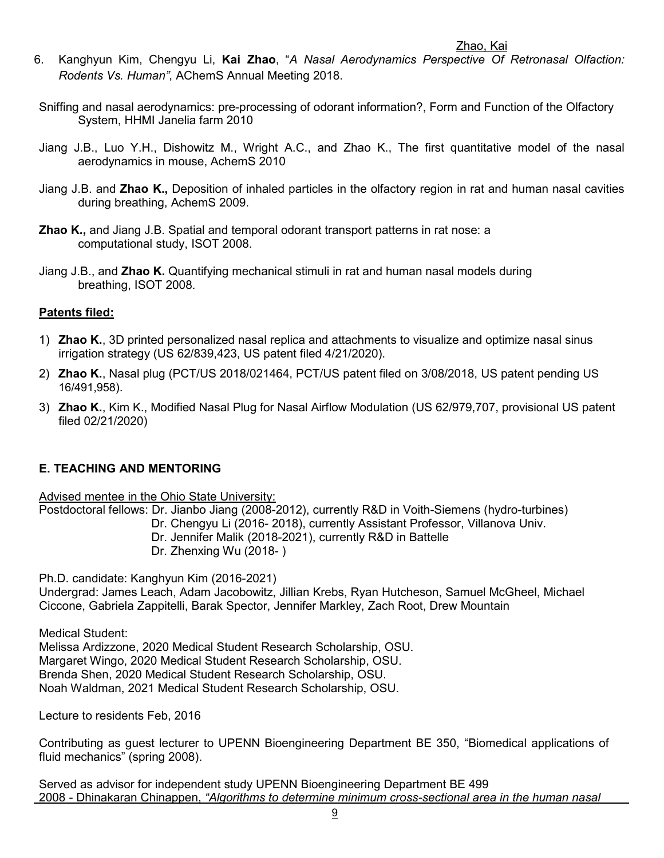- Zhao, Kai 6. Kanghyun Kim, Chengyu Li, **Kai Zhao**, "*A Nasal Aerodynamics Perspective Of Retronasal Olfaction: Rodents Vs. Human"*, AChemS Annual Meeting 2018.
- Sniffing and nasal aerodynamics: pre-processing of odorant information?, Form and Function of the Olfactory System, HHMI Janelia farm 2010
- Jiang J.B., Luo Y.H., Dishowitz M., Wright A.C., and Zhao K., The first quantitative model of the nasal aerodynamics in mouse, AchemS 2010
- Jiang J.B. and **Zhao K.,** Deposition of inhaled particles in the olfactory region in rat and human nasal cavities during breathing, AchemS 2009.
- **Zhao K.,** and Jiang J.B. Spatial and temporal odorant transport patterns in rat nose: a computational study, ISOT 2008.
- Jiang J.B., and **Zhao K.** Quantifying mechanical stimuli in rat and human nasal models during breathing, ISOT 2008.

# **Patents filed:**

- 1) **Zhao K.**, 3D printed personalized nasal replica and attachments to visualize and optimize nasal sinus irrigation strategy (US 62/839,423, US patent filed 4/21/2020).
- 2) **Zhao K.**, Nasal plug (PCT/US 2018/021464, PCT/US patent filed on 3/08/2018, US patent pending US 16/491,958).
- 3) **Zhao K.**, Kim K., Modified Nasal Plug for Nasal Airflow Modulation (US 62/979,707, provisional US patent filed 02/21/2020)

# **E. TEACHING AND MENTORING**

Advised mentee in the Ohio State University:

Postdoctoral fellows: Dr. Jianbo Jiang (2008-2012), currently R&D in Voith-Siemens (hydro-turbines)

Dr. Chengyu Li (2016- 2018), currently Assistant Professor, Villanova Univ.

Dr. Jennifer Malik (2018-2021), currently R&D in Battelle

Dr. Zhenxing Wu (2018- )

Ph.D. candidate: Kanghyun Kim (2016-2021)

Undergrad: James Leach, Adam Jacobowitz, Jillian Krebs, Ryan Hutcheson, Samuel McGheel, Michael Ciccone, Gabriela Zappitelli, Barak Spector, Jennifer Markley, Zach Root, Drew Mountain

Medical Student:

Melissa Ardizzone, 2020 Medical Student Research Scholarship, OSU. Margaret Wingo, 2020 Medical Student Research Scholarship, OSU. Brenda Shen, 2020 Medical Student Research Scholarship, OSU. Noah Waldman, 2021 Medical Student Research Scholarship, OSU.

Lecture to residents Feb, 2016

Contributing as guest lecturer to UPENN Bioengineering Department BE 350, "Biomedical applications of fluid mechanics" (spring 2008).

Served as advisor for independent study UPENN Bioengineering Department BE 499 2008 - Dhinakaran Chinappen, *"Algorithms to determine minimum cross-sectional area in the human nasal*